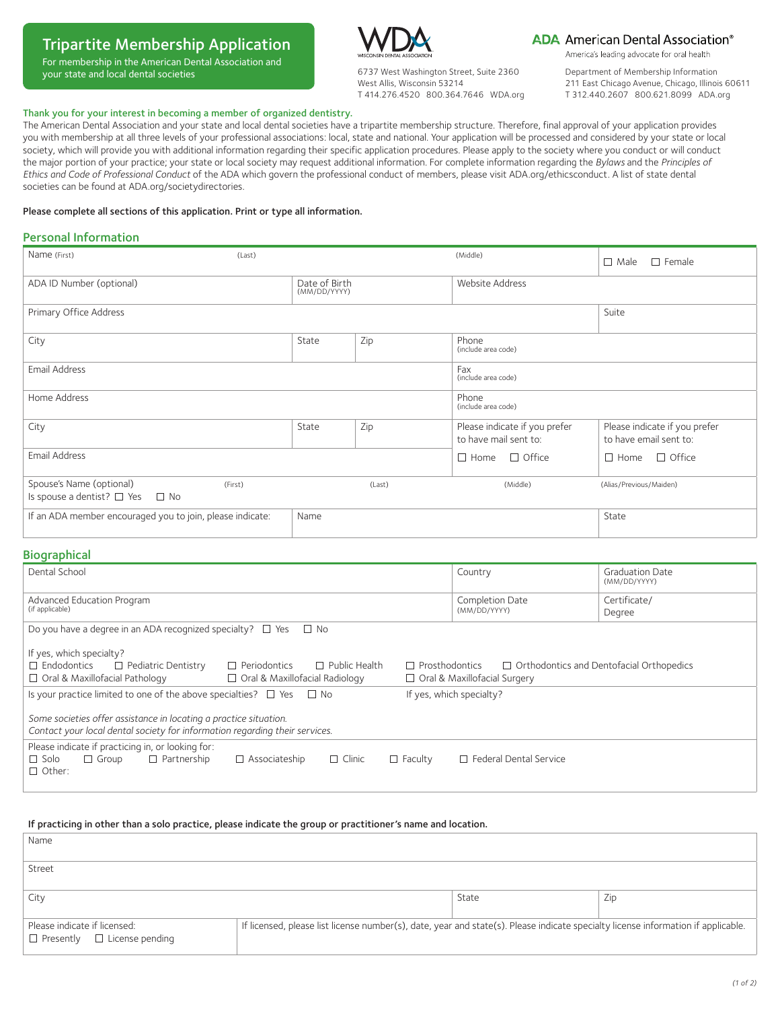# Tripartite Membership Application

For membership in the American Dental Association and your state and local dental societies



6737 West Washington Street, Suite 2360 West Allis, Wisconsin 53214 T 414.276.4520 800.364.7646 WDA.org

## **ADA** American Dental Association<sup>®</sup>

America's leading advocate for oral health

Department of Membership Information 211 East Chicago Avenue, Chicago, Illinois 60611 T 312.440.2607 800.621.8099 ADA.org

### Thank you for your interest in becoming a member of organized dentistry.

The American Dental Association and your state and local dental societies have a tripartite membership structure. Therefore, final approval of your application provides you with membership at all three levels of your professional associations: local, state and national. Your application will be processed and considered by your state or local society, which will provide you with additional information regarding their specific application procedures. Please apply to the society where you conduct or will conduct the major portion of your practice; your state or local society may request additional information. For complete information regarding the *Bylaws* and the *Principles of Ethics and Code of Professional Conduct* of the ADA which govern the professional conduct of members, please visit ADA.org/ethicsconduct. A list of state dental societies can be found at [ADA.org/societydirectories](http://www.ada.org/societydirectories).

#### Please complete all sections of this application. Print or type all information.

## Personal Information

| Name (First)                                                          | (Last)  |                               |        | (Middle)                                               | $\Box$ Male<br>$\Box$ Female                            |
|-----------------------------------------------------------------------|---------|-------------------------------|--------|--------------------------------------------------------|---------------------------------------------------------|
| ADA ID Number (optional)                                              |         | Date of Birth<br>(MM/DD/YYYY) |        | Website Address                                        |                                                         |
| Primary Office Address                                                |         |                               |        |                                                        | Suite                                                   |
| City                                                                  |         | State                         | Zip    | Phone<br>(include area code)                           |                                                         |
| Email Address                                                         |         |                               |        | Fax<br>(include area code)                             |                                                         |
| Home Address                                                          |         |                               |        | Phone<br>(include area code)                           |                                                         |
| City                                                                  |         | State                         | Zip    | Please indicate if you prefer<br>to have mail sent to: | Please indicate if you prefer<br>to have email sent to: |
| Email Address                                                         |         |                               |        | $\Box$ Home $\Box$ Office                              | $\Box$ Home $\Box$ Office                               |
| Spouse's Name (optional)<br>Is spouse a dentist? $\Box$ Yes $\Box$ No | (First) |                               | (Last) | (Middle)                                               | (Alias/Previous/Maiden)                                 |
| If an ADA member encouraged you to join, please indicate:             |         | Name                          |        |                                                        | State                                                   |

## **Biographical**

| Dental School                                                                                                                                                                                                                                                                                                          | Country                         | <b>Graduation Date</b><br>(MM/DD/YYYY) |  |  |
|------------------------------------------------------------------------------------------------------------------------------------------------------------------------------------------------------------------------------------------------------------------------------------------------------------------------|---------------------------------|----------------------------------------|--|--|
| Advanced Education Program<br>(if applicable)                                                                                                                                                                                                                                                                          | Completion Date<br>(MM/DD/YYYY) | Certificate/<br>Degree                 |  |  |
| Do you have a degree in an ADA recognized specialty? $\square$ Yes<br>$\Box$ No                                                                                                                                                                                                                                        |                                 |                                        |  |  |
| If yes, which specialty?<br>$\Box$ Endodontics<br>$\Box$ Pediatric Dentistry<br>$\Box$ Public Health<br>$\Box$ Orthodontics and Dentofacial Orthopedics<br>$\Box$ Periodontics<br>$\Box$ Prosthodontics<br>$\Box$ Oral & Maxillofacial Pathology<br>□ Oral & Maxillofacial Radiology<br>□ Oral & Maxillofacial Surgery |                                 |                                        |  |  |
| Is your practice limited to one of the above specialties? $\Box$ Yes $\Box$ No<br>If yes, which specialty?                                                                                                                                                                                                             |                                 |                                        |  |  |
| Some societies offer assistance in locating a practice situation.<br>Contact your local dental society for information regarding their services.                                                                                                                                                                       |                                 |                                        |  |  |
| Please indicate if practicing in, or looking for:<br>$\Box$ Solo<br>$\Box$ Partnership<br>$\Box$ Clinic<br>$\Box$ Group<br>$\Box$ Associateship<br>$\Box$ Faculty<br>$\Box$ Other:                                                                                                                                     | □ Federal Dental Service        |                                        |  |  |

#### If practicing in other than a solo practice, please indicate the group or practitioner's name and location.

| Name                                                                    |                                                                                                                                   |       |     |
|-------------------------------------------------------------------------|-----------------------------------------------------------------------------------------------------------------------------------|-------|-----|
| Street                                                                  |                                                                                                                                   |       |     |
| City                                                                    |                                                                                                                                   | State | Zip |
| Please indicate if licensed:<br>$\Box$ Presently $\Box$ License pending | If licensed, please list license number(s), date, year and state(s). Please indicate specialty license information if applicable. |       |     |